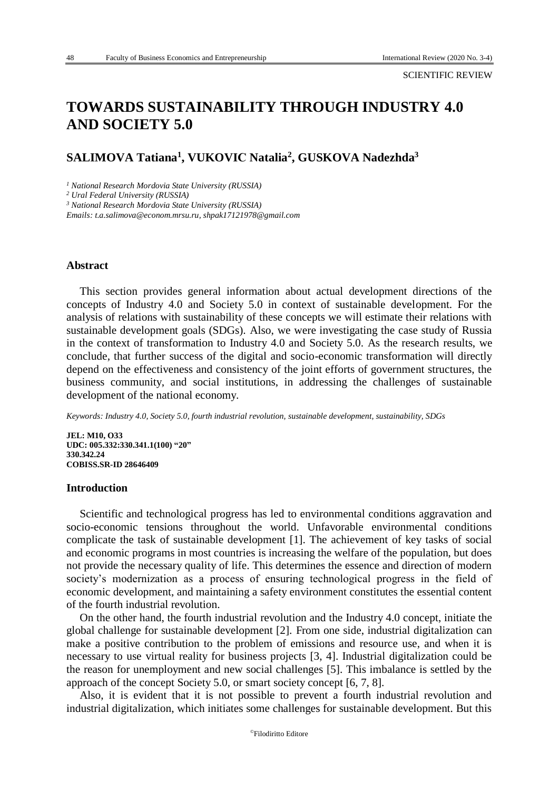# **TOWARDS SUSTAINABILITY THROUGH INDUSTRY 4.0 AND SOCIETY 5.0**

## **SALIMOVA Tatiana<sup>1</sup> , VUKOVIС Natalia<sup>2</sup> , GUSKOVA Nadezhda<sup>3</sup>**

*<sup>1</sup> National Research Mordovia State University (RUSSIA)*

*<sup>2</sup> Ural Federal University (RUSSIA)*

*<sup>3</sup> National Research Mordovia State University (RUSSIA)*

*Emails[: t.a.salimova@econom.mrsu.ru,](mailto:t.a.salimova@econom.mrsu.ru) [shpak17121978@gmail.com](mailto:shpak17121978@gmail.com)*

#### **Abstract**

This section provides general information about actual development directions of the concepts of Industry 4.0 and Society 5.0 in context of sustainable development. For the analysis of relations with sustainability of these concepts we will estimate their relations with sustainable development goals (SDGs). Also, we were investigating the case study of Russia in the context of transformation to Industry 4.0 and Society 5.0. As the research results, we conclude, that further success of the digital and socio-economic transformation will directly depend on the effectiveness and consistency of the joint efforts of government structures, the business community, and social institutions, in addressing the challenges of sustainable development of the national economy.

*Keywords: Industry 4.0, Society 5.0, fourth industrial revolution, sustainable development, sustainability, SDGs*

**JEL: M10, O33 UDC: 005.332:330.341.1(100) "20" 330.342.24 COBISS.SR-ID 28646409**

#### **Introduction**

Scientific and technological progress has led to environmental conditions aggravation and socio-economic tensions throughout the world. Unfavorable environmental conditions complicate the task of sustainable development [1]. The achievement of key tasks of social and economic programs in most countries is increasing the welfare of the population, but does not provide the necessary quality of life. This determines the essence and direction of modern society's modernization as a process of ensuring technological progress in the field of economic development, and maintaining a safety environment constitutes the essential content of the fourth industrial revolution.

On the other hand, the fourth industrial revolution and the Industry 4.0 concept, initiate the global challenge for sustainable development [2]. From one side, industrial digitalization can make a positive contribution to the problem of emissions and resource use, and when it is necessary to use virtual reality for business projects [3, 4]. Industrial digitalization could be the reason for unemployment and new social challenges [5]. This imbalance is settled by the approach of the concept Society 5.0, or smart society concept [6, 7, 8].

Also, it is evident that it is not possible to prevent a fourth industrial revolution and industrial digitalization, which initiates some challenges for sustainable development. But this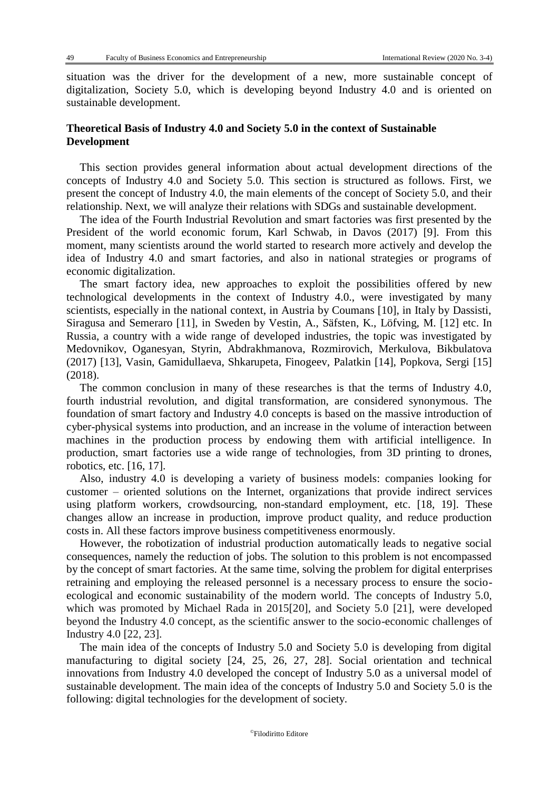situation was the driver for the development of a new, more sustainable concept of digitalization, Society 5.0, which is developing beyond Industry 4.0 and is oriented on sustainable development.

## **Theoretical Basis of Industry 4.0 and Society 5.0 in the context of Sustainable Development**

This section provides general information about actual development directions of the concepts of Industry 4.0 and Society 5.0. This section is structured as follows. First, we present the concept of Industry 4.0, the main elements of the concept of Society 5.0, and their relationship. Next, we will analyze their relations with SDGs and sustainable development.

The idea of the Fourth Industrial Revolution and smart factories was first presented by the President of the world economic forum, Karl Schwab, in Davos (2017) [9]. From this moment, many scientists around the world started to research more actively and develop the idea of Industry 4.0 and smart factories, and also in national strategies or programs of economic digitalization.

The smart factory idea, new approaches to exploit the possibilities offered by new technological developments in the context of Industry 4.0., were investigated by many scientists, especially in the national context, in Austria by Coumans [10], in Italy by Dassisti, Siragusa and Semeraro [11], in Sweden by Vestin, A., Säfsten, K., Löfving, M. [12] etc. In Russia, a country with a wide range of developed industries, the topic was investigated by Medovnikov, Oganesyan, Styrin, Abdrakhmanova, Rozmirovich, Merkulova, Bikbulatova (2017) [13], Vasin, Gamidullaeva, Shkarupeta, Finogeev, Palatkin [14], Popkova, Sergi [15] (2018).

The common conclusion in many of these researches is that the terms of Industry 4.0, fourth industrial revolution, and digital transformation, are considered synonymous. The foundation of smart factory and Industry 4.0 concepts is based on the massive introduction of cyber-physical systems into production, and an increase in the volume of interaction between machines in the production process by endowing them with artificial intelligence. In production, smart factories use a wide range of technologies, from 3D printing to drones, robotics, etc. [16, 17].

Also, industry 4.0 is developing a variety of business models: companies looking for customer – oriented solutions on the Internet, organizations that provide indirect services using platform workers, crowdsourcing, non-standard employment, etc. [18, 19]. These changes allow an increase in production, improve product quality, and reduce production costs in. All these factors improve business competitiveness enormously.

However, the robotization of industrial production automatically leads to negative social consequences, namely the reduction of jobs. The solution to this problem is not encompassed by the concept of smart factories. At the same time, solving the problem for digital enterprises retraining and employing the released personnel is a necessary process to ensure the socioecological and economic sustainability of the modern world. The concepts of Industry 5.0, which was promoted by Michael Rada in 2015[20], and Society 5.0 [21], were developed beyond the Industry 4.0 concept, as the scientific answer to the socio-economic challenges of Industry 4.0 [22, 23].

The main idea of the concepts of Industry 5.0 and Society 5.0 is developing from digital manufacturing to digital society [24, 25, 26, 27, 28]. Social orientation and technical innovations from Industry 4.0 developed the concept of Industry 5.0 as a universal model of sustainable development. The main idea of the concepts of Industry 5.0 and Society 5.0 is the following: digital technologies for the development of society.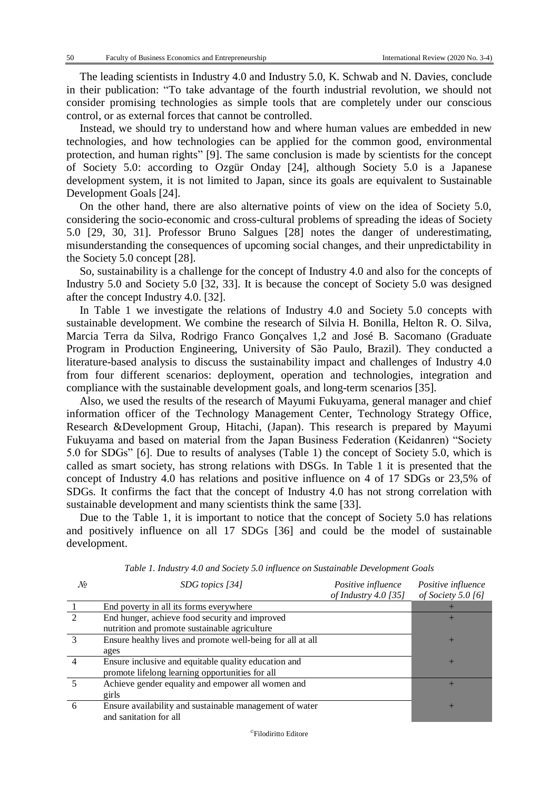The leading scientists in Industry 4.0 and Industry 5.0, K. Schwab and N. Davies, conclude in their publication: "To take advantage of the fourth industrial revolution, we should not consider promising technologies as simple tools that are completely under our conscious control, or as external forces that cannot be controlled.

Instead, we should try to understand how and where human values are embedded in new technologies, and how technologies can be applied for the common good, environmental protection, and human rights" [9]. The same conclusion is made by scientists for the concept of Society 5.0: according to Ozgür Onday [24], although Society 5.0 is a Japanese development system, it is not limited to Japan, since its goals are equivalent to Sustainable Development Goals [24].

On the other hand, there are also alternative points of view on the idea of Society 5.0, considering the socio-economic and cross-cultural problems of spreading the ideas of Society 5.0 [29, 30, 31]. Professor Bruno Salgues [28] notes the danger of underestimating, misunderstanding the consequences of upcoming social changes, and their unpredictability in the Society 5.0 concept [28].

So, sustainability is a challenge for the concept of Industry 4.0 and also for the concepts of Industry 5.0 and Society 5.0 [32, 33]. It is because the concept of Society 5.0 was designed after the concept Industry 4.0. [32].

In Table 1 we investigate the relations of Industry 4.0 and Society 5.0 concepts with sustainable development. We combine the research of Silvia H. Bonilla, Helton R. O. Silva, Marcia Terra da Silva, Rodrigo Franco Gonçalves 1,2 and José B. Sacomano (Graduate Program in Production Engineering, University of São Paulo, Brazil). They conducted a literature-based analysis to discuss the sustainability impact and challenges of Industry 4.0 from four different scenarios: deployment, operation and technologies, integration and compliance with the sustainable development goals, and long-term scenarios [35].

Also, we used the results of the research of Mayumi Fukuyama, general manager and chief information officer of the Technology Management Center, Technology Strategy Office, Research &Development Group, Hitachi, (Japan). This research is prepared by Mayumi Fukuyama and based on material from the Japan Business Federation (Keidanren) "Society 5.0 for SDGs" [6]. Due to results of analyses (Table 1) the concept of Society 5.0, which is called as smart society, has strong relations with DSGs. In Table 1 it is presented that the concept of Industry 4.0 has relations and positive influence on 4 of 17 SDGs or 23,5% of SDGs. It confirms the fact that the concept of Industry 4.0 has not strong correlation with sustainable development and many scientists think the same [33].

Due to the Table 1, it is important to notice that the concept of Society 5.0 has relations and positively influence on all 17 SDGs [36] and could be the model of sustainable development.

| No | SDG topics [34]                                            | Positive influence     | Positive influence |  |  |  |
|----|------------------------------------------------------------|------------------------|--------------------|--|--|--|
|    |                                                            | of Industry $4.0$ [35] | of Society 5.0 [6] |  |  |  |
|    | End poverty in all its forms everywhere                    |                        |                    |  |  |  |
|    | End hunger, achieve food security and improved             |                        |                    |  |  |  |
|    | nutrition and promote sustainable agriculture              |                        |                    |  |  |  |
|    | Ensure healthy lives and promote well-being for all at all |                        |                    |  |  |  |
|    | ages                                                       |                        |                    |  |  |  |
|    | Ensure inclusive and equitable quality education and       |                        | $\pm$              |  |  |  |
|    | promote lifelong learning opportunities for all            |                        |                    |  |  |  |
|    | Achieve gender equality and empower all women and          |                        |                    |  |  |  |
|    | girls                                                      |                        |                    |  |  |  |
| 6  | Ensure availability and sustainable management of water    |                        |                    |  |  |  |
|    | and sanitation for all                                     |                        |                    |  |  |  |

*Table 1. Industry 4.0 and Society 5.0 influence on Sustainable Development Goals*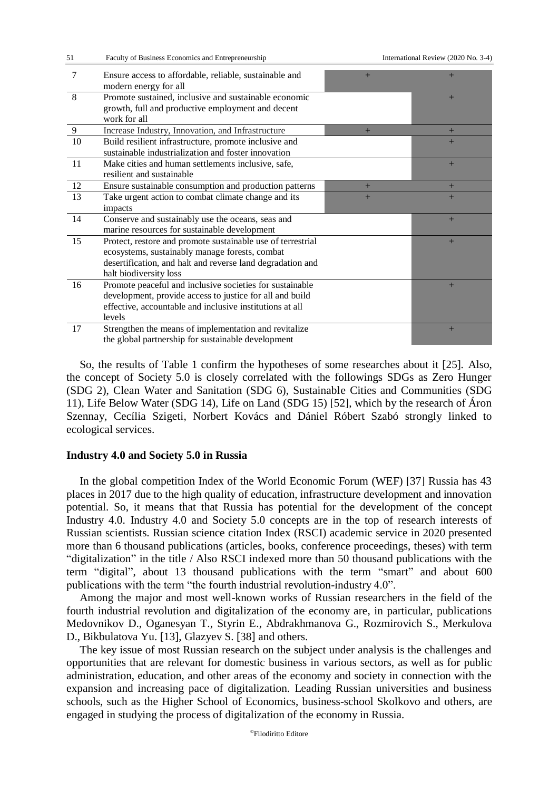| 51              | Faculty of Business Economics and Entrepreneurship                                                                                                                                                    | International Review (2020 No. 3-4) |     |  |  |  |  |
|-----------------|-------------------------------------------------------------------------------------------------------------------------------------------------------------------------------------------------------|-------------------------------------|-----|--|--|--|--|
| 7               | Ensure access to affordable, reliable, sustainable and<br>modern energy for all                                                                                                                       | $+$                                 | $+$ |  |  |  |  |
| 8               | Promote sustained, inclusive and sustainable economic<br>growth, full and productive employment and decent<br>work for all                                                                            |                                     | $+$ |  |  |  |  |
| 9               | Increase Industry, Innovation, and Infrastructure                                                                                                                                                     | $+$                                 | $+$ |  |  |  |  |
| $\overline{10}$ | Build resilient infrastructure, promote inclusive and<br>sustainable industrialization and foster innovation                                                                                          |                                     | $+$ |  |  |  |  |
| 11              | Make cities and human settlements inclusive, safe,<br>resilient and sustainable                                                                                                                       |                                     | $+$ |  |  |  |  |
| 12              | Ensure sustainable consumption and production patterns                                                                                                                                                | $+$                                 | $+$ |  |  |  |  |
| 13              | Take urgent action to combat climate change and its<br>impacts                                                                                                                                        | $+$                                 | $+$ |  |  |  |  |
| 14              | Conserve and sustainably use the oceans, seas and<br>marine resources for sustainable development                                                                                                     |                                     | $+$ |  |  |  |  |
| 15              | Protect, restore and promote sustainable use of terrestrial<br>ecosystems, sustainably manage forests, combat<br>desertification, and halt and reverse land degradation and<br>halt biodiversity loss |                                     | $+$ |  |  |  |  |
| 16              | Promote peaceful and inclusive societies for sustainable<br>development, provide access to justice for all and build<br>effective, accountable and inclusive institutions at all<br>levels            |                                     | $+$ |  |  |  |  |
| 17              | Strengthen the means of implementation and revitalize<br>the global partnership for sustainable development                                                                                           |                                     | $+$ |  |  |  |  |

So, the results of Table 1 confirm the hypotheses of some researches about it [25]. Also, the concept of Society 5.0 is closely correlated with the followings SDGs as Zero Hunger (SDG 2), Clean Water and Sanitation (SDG 6), Sustainable Cities and Communities (SDG 11), Life Below Water (SDG 14), Life on Land (SDG 15) [52], which by the research of Áron Szennay, Cecília Szigeti, Norbert Kovács and Dániel Róbert Szabó strongly linked to ecological services.

## **Industry 4.0 and Society 5.0 in Russia**

In the global competition Index of the World Economic Forum (WEF) [37] Russia has 43 places in 2017 due to the high quality of education, infrastructure development and innovation potential. So, it means that that Russia has potential for the development of the concept Industry 4.0. Industry 4.0 and Society 5.0 concepts are in the top of research interests of Russian scientists. Russian science citation Index (RSCI) academic service in 2020 presented more than 6 thousand publications (articles, books, conference proceedings, theses) with term "digitalization" in the title / Also RSCI indexed more than 50 thousand publications with the term "digital", about 13 thousand publications with the term "smart" and about 600 publications with the term "the fourth industrial revolution-industry 4.0".

Among the major and most well-known works of Russian researchers in the field of the fourth industrial revolution and digitalization of the economy are, in particular, publications Medovnikov D., Oganesyan T., Styrin E., Abdrakhmanova G., Rozmirovich S., Merkulova D., Bikbulatova Yu. [13], Glazyev S. [38] and others.

The key issue of most Russian research on the subject under analysis is the challenges and opportunities that are relevant for domestic business in various sectors, as well as for public administration, education, and other areas of the economy and society in connection with the expansion and increasing pace of digitalization. Leading Russian universities and business schools, such as the Higher School of Economics, business-school Skolkovo and others, are engaged in studying the process of digitalization of the economy in Russia.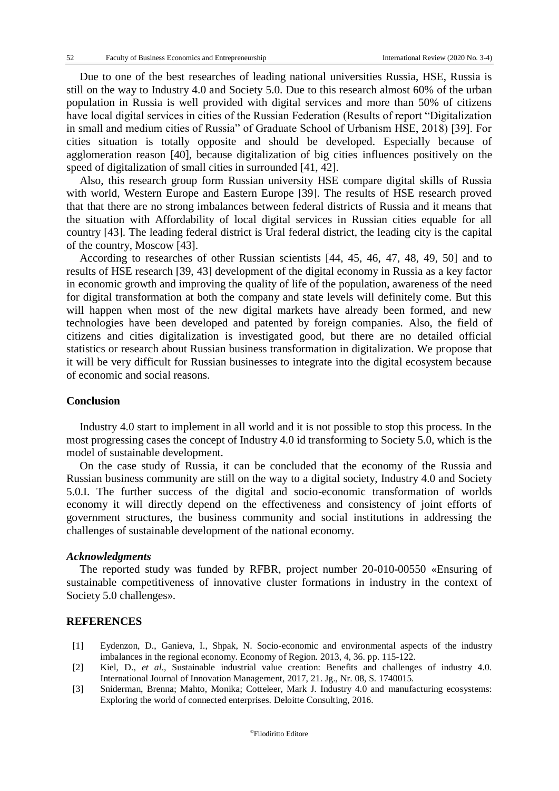Due to one of the best researches of leading national universities Russia, HSE, Russia is still on the way to Industry 4.0 and Society 5.0. Due to this research almost 60% of the urban population in Russia is well provided with digital services and more than 50% of citizens have local digital services in cities of the Russian Federation (Results of report "Digitalization in small and medium cities of Russia" of Graduate School of Urbanism HSE, 2018) [39]. For cities situation is totally opposite and should be developed. Especially because of agglomeration reason [40], because digitalization of big cities influences positively on the speed of digitalization of small cities in surrounded [41, 42].

Also, this research group form Russian university HSE compare digital skills of Russia with world, Western Europe and Eastern Europe [39]. The results of HSE research proved that that there are no strong imbalances between federal districts of Russia and it means that the situation with Affordability of local digital services in Russian cities equable for all country [43]. The leading federal district is Ural federal district, the leading city is the capital of the country, Moscow [43].

According to researches of other Russian scientists [44, 45, 46, 47, 48, 49, 50] and to results of HSE research [39, 43] development of the digital economy in Russia as a key factor in economic growth and improving the quality of life of the population, awareness of the need for digital transformation at both the company and state levels will definitely come. But this will happen when most of the new digital markets have already been formed, and new technologies have been developed and patented by foreign companies. Also, the field of citizens and cities digitalization is investigated good, but there are no detailed official statistics or research about Russian business transformation in digitalization. We propose that it will be very difficult for Russian businesses to integrate into the digital ecosystem because of economic and social reasons.

## **Conclusion**

Industry 4.0 start to implement in all world and it is not possible to stop this process. In the most progressing cases the concept of Industry 4.0 id transforming to Society 5.0, which is the model of sustainable development.

On the case study of Russia, it can be concluded that the economy of the Russia and Russian business community are still on the way to a digital society, Industry 4.0 and Society 5.0.I. The further success of the digital and socio-economic transformation of worlds economy it will directly depend on the effectiveness and consistency of joint efforts of government structures, the business community and social institutions in addressing the challenges of sustainable development of the national economy.

#### *Acknowledgments*

The reported study was funded by RFBR, project number 20-010-00550 «Ensuring of sustainable competitiveness of innovative cluster formations in industry in the context of Society 5.0 challenges».

#### **REFERENCES**

- [1] Eydenzon, D., Ganieva, I., Shpak, N. Socio-economic and environmental aspects of the industry imbalances in the regional economy. Economy of Region. 2013, 4, 36. pp. 115-122.
- [2] Kiel, D., *et al*., Sustainable industrial value creation: Benefits and challenges of industry 4.0. International Journal of Innovation Management, 2017, 21. Jg., Nr. 08, S. 1740015.
- [3] Sniderman, Brenna; Mahto, Monika; Cotteleer, Mark J. Industry 4.0 and manufacturing ecosystems: Exploring the world of connected enterprises. Deloitte Consulting, 2016.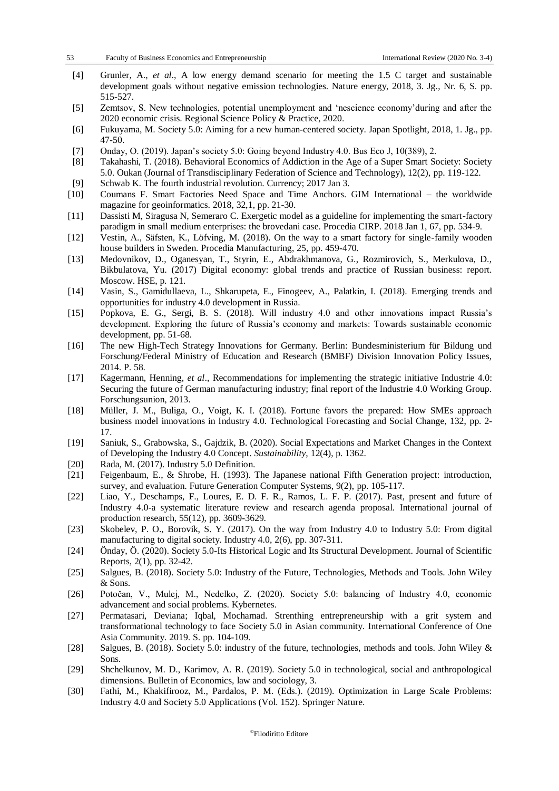| 53 | Faculty of Business Economics and Entrepreneurship |
|----|----------------------------------------------------|
|    |                                                    |

| - [4] | Grunler, A., <i>et al.</i> , A low energy demand scenario for meeting the 1.5 C target and sustainable |  |  |  |  |  |  |  |  |  |
|-------|--------------------------------------------------------------------------------------------------------|--|--|--|--|--|--|--|--|--|
|       | development goals without negative emission technologies. Nature energy, 2018, 3. Jg., Nr. 6, S. pp.   |  |  |  |  |  |  |  |  |  |
|       | 515-527.                                                                                               |  |  |  |  |  |  |  |  |  |

- [5] Zemtsov, S. New technologies, potential unemployment and 'nescience economy'during and after the 2020 economic crisis. Regional Science Policy & Practice, 2020.
- [6] Fukuyama, M. Society 5.0: Aiming for a new human-centered society. Japan Spotlight, 2018, 1. Jg., pp. 47-50.
- [7] Onday, O. (2019). Japan's society 5.0: Going beyond Industry 4.0. Bus Eco J, 10(389), 2.
- [8] Takahashi, T. (2018). Behavioral Economics of Addiction in the Age of a Super Smart Society: Society 5.0. Oukan (Journal of Transdisciplinary Federation of Science and Technology), 12(2), pp. 119-122.
- [9] Schwab K. The fourth industrial revolution. Currency; 2017 Jan 3.
- [10] Coumans F. Smart Factories Need Space and Time Anchors. GIM International the worldwide magazine for geoinformatics. 2018, 32,1, pp. 21-30.
- [11] Dassisti M, Siragusa N, Semeraro C. Exergetic model as a guideline for implementing the smart-factory paradigm in small medium enterprises: the brovedani case. Procedia CIRP. 2018 Jan 1, 67, pp. 534-9.
- [12] Vestin, A., Säfsten, K., Löfving, M. (2018). On the way to a smart factory for single-family wooden house builders in Sweden. Procedia Manufacturing, 25, pp. 459-470.
- [13] Medovnikov, D., Oganesyan, T., Styrin, E., Abdrakhmanova, G., Rozmirovich, S., Merkulova, D., Bikbulatova, Yu. (2017) Digital economy: global trends and practice of Russian business: report. Moscow. HSE, p. 121.
- [14] Vasin, S., Gamidullaeva, L., Shkarupeta, E., Finogeev, A., Palatkin, I. (2018). Emerging trends and opportunities for industry 4.0 development in Russia.
- [15] Popkova, E. G., Sergi, B. S. (2018). Will industry 4.0 and other innovations impact Russia's development. Exploring the future of Russia's economy and markets: Towards sustainable economic development, pp. 51-68.
- [16] The new High-Tech Strategy Innovations for Germany. Berlin: Bundesministerium für Bildung und Forschung/Federal Ministry of Education and Research (BMBF) Division Innovation Policy Issues, 2014. P. 58.
- [17] Kagermann, Henning, *et al*., Recommendations for implementing the strategic initiative Industrie 4.0: Securing the future of German manufacturing industry; final report of the Industrie 4.0 Working Group. Forschungsunion, 2013.
- [18] Müller, J. M., Buliga, O., Voigt, K. I. (2018). Fortune favors the prepared: How SMEs approach business model innovations in Industry 4.0. Technological Forecasting and Social Change, 132, pp. 2- 17.
- [19] Saniuk, S., Grabowska, S., Gajdzik, B. (2020). Social Expectations and Market Changes in the Context of Developing the Industry 4.0 Concept. *Sustainability,* 12(4), p. 1362.
- [20] Rada, M. (2017). Industry 5.0 Definition.
- [21] Feigenbaum, E., & Shrobe, H. (1993). The Japanese national Fifth Generation project: introduction, survey, and evaluation. Future Generation Computer Systems, 9(2), pp. 105-117.
- [22] Liao, Y., Deschamps, F., Loures, E. D. F. R., Ramos, L. F. P. (2017). Past, present and future of Industry 4.0-a systematic literature review and research agenda proposal. International journal of production research, 55(12), pp. 3609-3629.
- [23] Skobelev, P. O., Borovik, S. Y. (2017). On the way from Industry 4.0 to Industry 5.0: From digital manufacturing to digital society. Industry 4.0, 2(6), pp. 307-311.
- [24] Önday, Ö. (2020). Society 5.0-Its Historical Logic and Its Structural Development. Journal of Scientific Reports, 2(1), pp. 32-42.
- [25] Salgues, B. (2018). Society 5.0: Industry of the Future, Technologies, Methods and Tools. John Wiley & Sons.
- [26] Potočan, V., Mulej, M., Nedelko, Z. (2020). Society 5.0: balancing of Industry 4.0, economic advancement and social problems. Kybernetes.
- [27] Permatasari, Deviana; Iqbal, Mochamad. Strenthing entrepreneurship with a grit system and transformational technology to face Society 5.0 in Asian community. International Conference of One Asia Community. 2019. S. pp. 104-109.
- [28] Salgues, B. (2018). Society 5.0: industry of the future, technologies, methods and tools. John Wiley & Sons.
- [29] Shchelkunov, M. D., Karimov, A. R. (2019). Society 5.0 in technological, social and anthropological dimensions. Bulletin of Economics, law and sociology, 3.
- [30] Fathi, M., Khakifirooz, M., Pardalos, P. M. (Eds.). (2019). Optimization in Large Scale Problems: Industry 4.0 and Society 5.0 Applications (Vol. 152). Springer Nature.